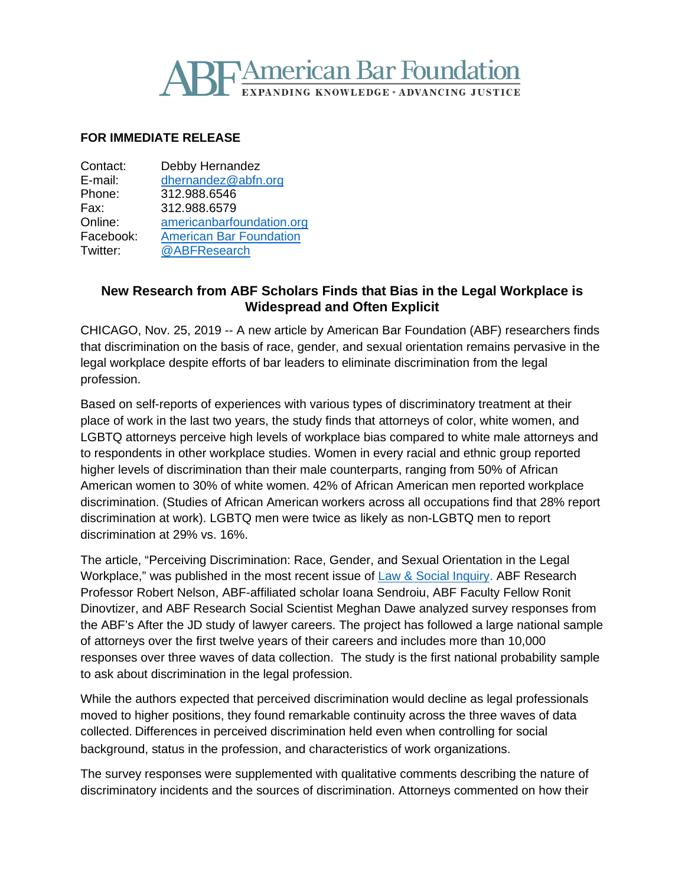## **REAMERICAN Bar Foundation** DING KNOWLEDGE · ADVANCING JUSTICE

## **FOR IMMEDIATE RELEASE**

| Contact:  | Debby Hernandez                |
|-----------|--------------------------------|
| E-mail:   | dhernandez@abfn.org            |
| Phone:    | 312.988.6546                   |
| Fax:      | 312.988.6579                   |
| Online:   | americanbarfoundation.org      |
| Facebook: | <b>American Bar Foundation</b> |
| Twitter:  | @ABFResearch                   |

## **New Research from ABF Scholars Finds that Bias in the Legal Workplace is Widespread and Often Explicit**

CHICAGO, Nov. 25, 2019 -- A new article by American Bar Foundation (ABF) researchers finds that discrimination on the basis of race, gender, and sexual orientation remains pervasive in the legal workplace despite efforts of bar leaders to eliminate discrimination from the legal profession.

Based on self-reports of experiences with various types of discriminatory treatment at their place of work in the last two years, the study finds that attorneys of color, white women, and LGBTQ attorneys perceive high levels of workplace bias compared to white male attorneys and to respondents in other workplace studies. Women in every racial and ethnic group reported higher levels of discrimination than their male counterparts, ranging from 50% of African American women to 30% of white women. 42% of African American men reported workplace discrimination. (Studies of African American workers across all occupations find that 28% report discrimination at work). LGBTQ men were twice as likely as non-LGBTQ men to report discrimination at 29% vs. 16%.

The article, "Perceiving Discrimination: Race, Gender, and Sexual Orientation in the Legal Workplace," was published in the most recent issue of [Law & Social Inquiry.](https://www.cambridge.org/core/journals/law-and-social-inquiry/article/perceiving-discrimination-race-gender-and-sexual-orientation-in-the-legal-workplace/974BAA3674B938B45316C864D6650D9A) ABF Research Professor Robert Nelson, ABF-affiliated scholar Ioana Sendroiu, ABF Faculty Fellow Ronit Dinovtizer, and ABF Research Social Scientist Meghan Dawe analyzed survey responses from the ABF's After the JD study of lawyer careers. The project has followed a large national sample of attorneys over the first twelve years of their careers and includes more than 10,000 responses over three waves of data collection. The study is the first national probability sample to ask about discrimination in the legal profession.

While the authors expected that perceived discrimination would decline as legal professionals moved to higher positions, they found remarkable continuity across the three waves of data collected. Differences in perceived discrimination held even when controlling for social background, status in the profession, and characteristics of work organizations.

The survey responses were supplemented with qualitative comments describing the nature of discriminatory incidents and the sources of discrimination. Attorneys commented on how their